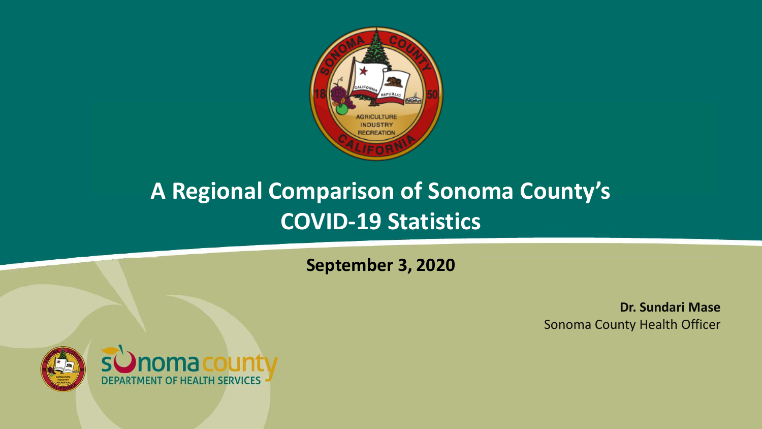

#### **A Regional Comparison of Sonoma County's COVID-19 Statistics**

**September 3, 2020**

**Dr. Sundari Mase** Sonoma County Health Officer

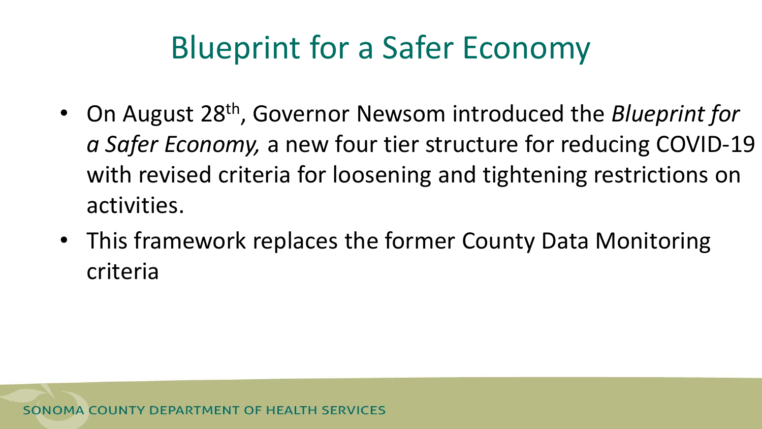# Blueprint for a Safer Economy

- On August 28th, Governor Newsom introduced the *Blueprint for a Safer Economy,* a new four tier structure for reducing COVID-19 with revised criteria for loosening and tightening restrictions on activities.
- This framework replaces the former County Data Monitoring criteria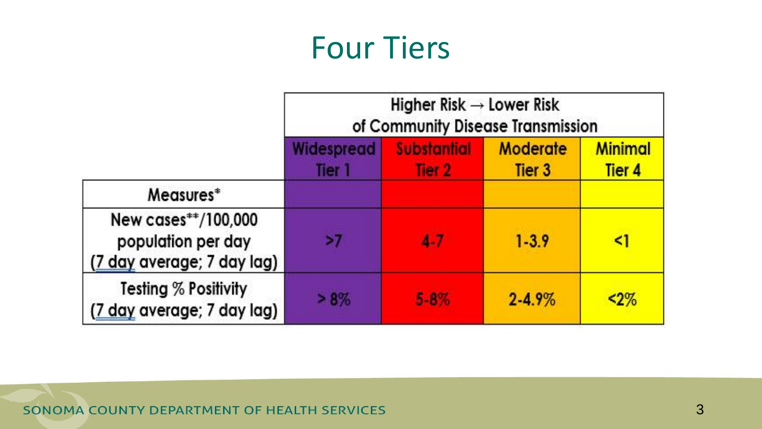### Four Tiers

|                                                                         | Higher Risk $\rightarrow$ Lower Risk<br>of Community Disease Transmission |                              |                                      |                                     |
|-------------------------------------------------------------------------|---------------------------------------------------------------------------|------------------------------|--------------------------------------|-------------------------------------|
|                                                                         | Widespread<br>Tier 1                                                      | <b>Substantial</b><br>Tier 2 | <b>Moderate</b><br>Tier <sub>3</sub> | <b>Minimal</b><br>Tier <sub>4</sub> |
| Measures*                                                               |                                                                           |                              |                                      |                                     |
| New cases**/100,000<br>population per day<br>(7 day average; 7 day lag) | >7                                                                        | 4.7                          | $1 - 3.9$                            | <1                                  |
| <b>Testing % Positivity</b><br>(7 day average; 7 day lag)               | >8%                                                                       | $5 - 8\%$                    | $2 - 4.9%$                           | $< 2\%$                             |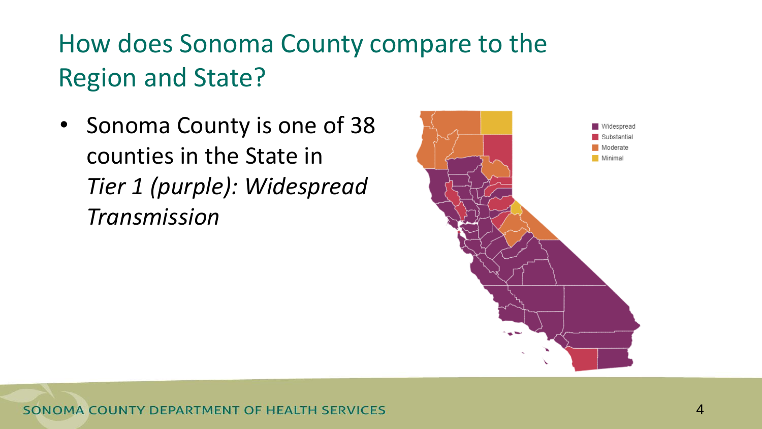#### How does Sonoma County compare to the Region and State?

• Sonoma County is one of 38 counties in the State in *Tier 1 (purple): Widespread Transmission*

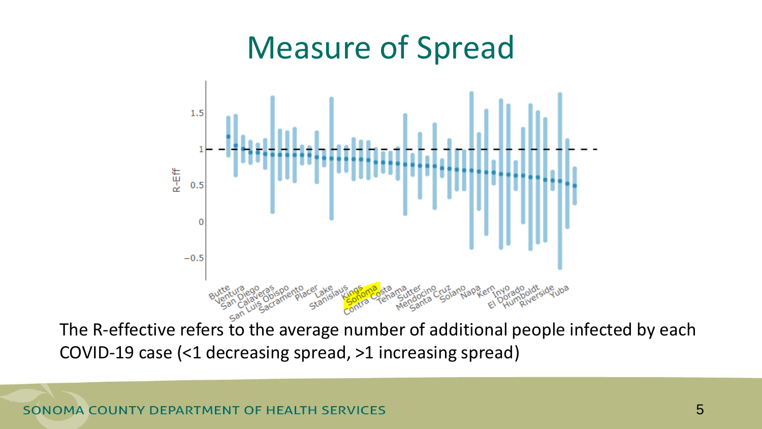### Measure of Spread



The R-effective refers to the average number of additional people infected by each COVID-19 case (<1 decreasing spread, >1 increasing spread)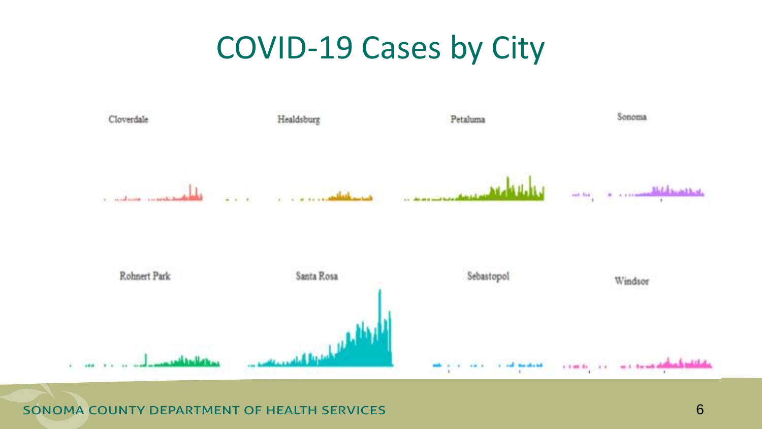### COVID-19 Cases by City



SONOMA COUNTY DEPARTMENT OF HEALTH SERVICES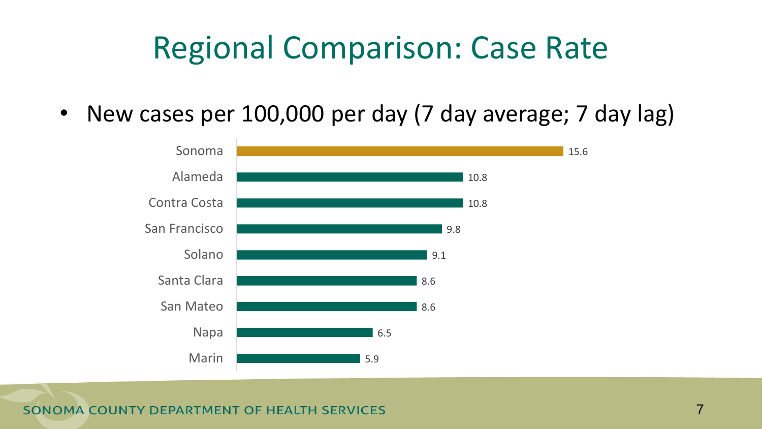# Regional Comparison: Case Rate

• New cases per 100,000 per day (7 day average; 7 day lag)



SONOMA COUNTY DEPARTMENT OF HEALTH SERVICES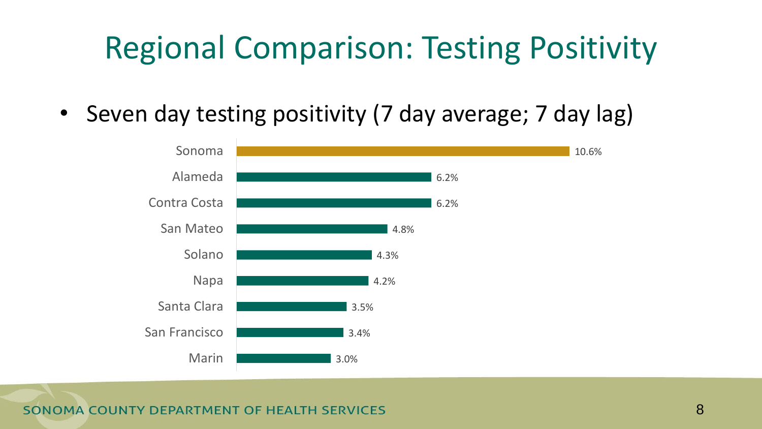# Regional Comparison: Testing Positivity

• Seven day testing positivity (7 day average; 7 day lag)



**OMA COUNTY DEPARTMENT OF HEALTH SERVICES** SON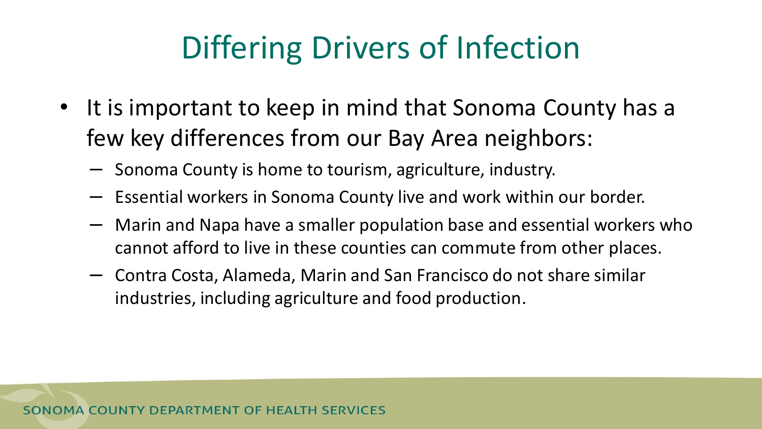# Differing Drivers of Infection

- It is important to keep in mind that Sonoma County has a few key differences from our Bay Area neighbors:
	- Sonoma County is home to tourism, agriculture, industry.
	- Essential workers in Sonoma County live and work within our border.
	- Marin and Napa have a smaller population base and essential workers who cannot afford to live in these counties can commute from other places.
	- Contra Costa, Alameda, Marin and San Francisco do not share similar industries, including agriculture and food production.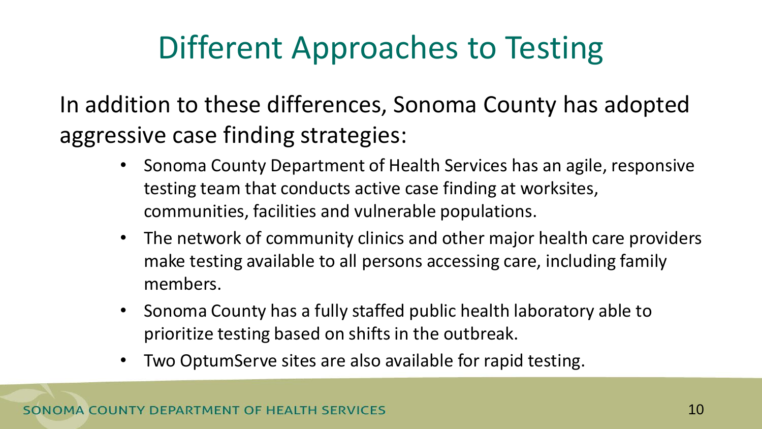# Different Approaches to Testing

In addition to these differences, Sonoma County has adopted aggressive case finding strategies:

- Sonoma County Department of Health Services has an agile, responsive testing team that conducts active case finding at worksites, communities, facilities and vulnerable populations.
- The network of community clinics and other major health care providers make testing available to all persons accessing care, including family members.
- Sonoma County has a fully staffed public health laboratory able to prioritize testing based on shifts in the outbreak.
- Two OptumServe sites are also available for rapid testing.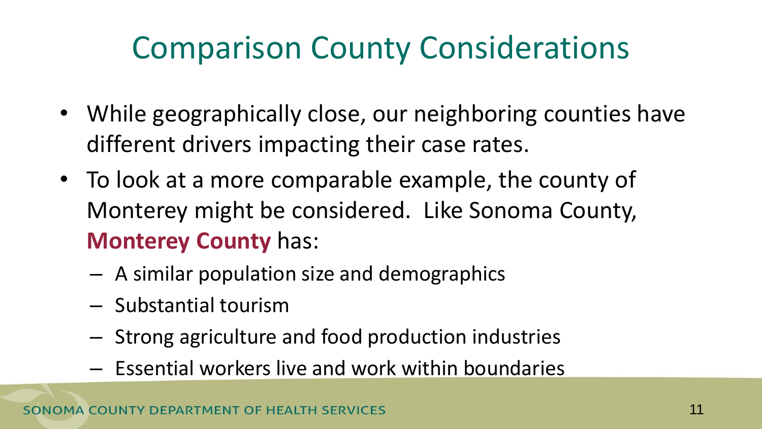# Comparison County Considerations

- While geographically close, our neighboring counties have different drivers impacting their case rates.
- To look at a more comparable example, the county of Monterey might be considered. Like Sonoma County, **Monterey County** has:
	- A similar population size and demographics
	- Substantial tourism
	- Strong agriculture and food production industries
	- Essential workers live and work within boundaries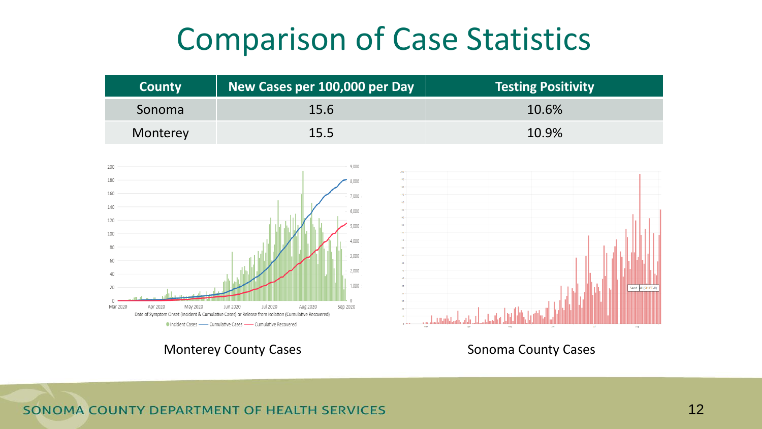### Comparison of Case Statistics

| County   | New Cases per 100,000 per Day | <b>Testing Positivity</b> |
|----------|-------------------------------|---------------------------|
| Sonoma   | 15.6                          | 10.6%                     |
| Monterey | $15.5^{\circ}$                | 10.9%                     |





Monterey County Cases **Sonoma County Cases** Sonoma County Cases

SONOMA COUNTY DEPARTMENT OF HEALTH SERVICES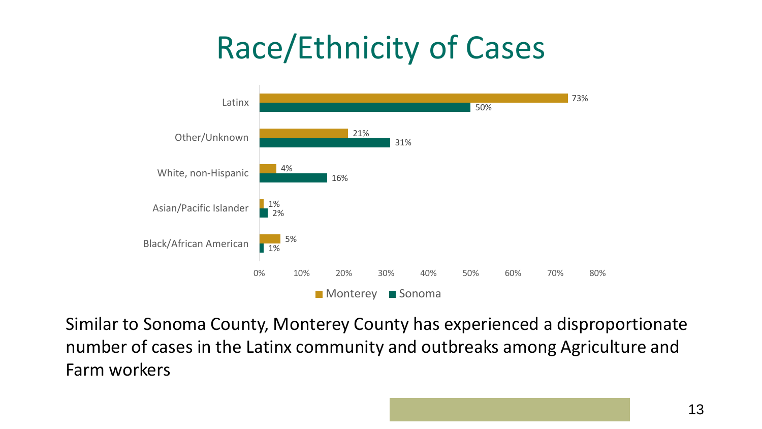# Race/Ethnicity of Cases



Similar to Sonoma County, Monterey County has experienced a disproportionate number of cases in the Latinx community and outbreaks among Agriculture and Farm workers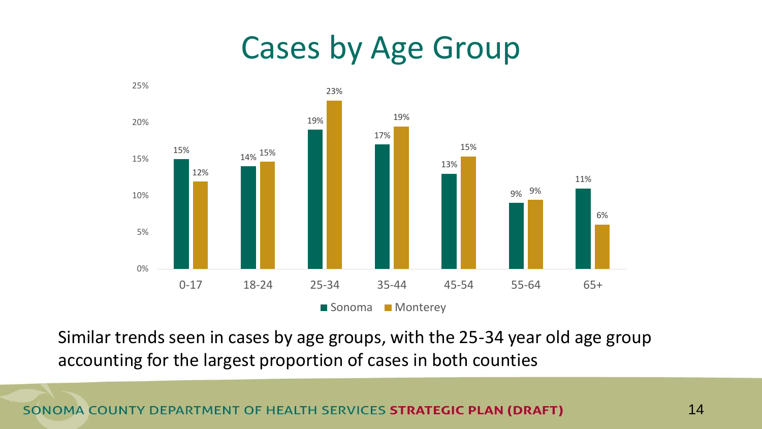### Cases by Age Group



Similar trends seen in cases by age groups, with the 25-34 year old age group accounting for the largest proportion of cases in both counties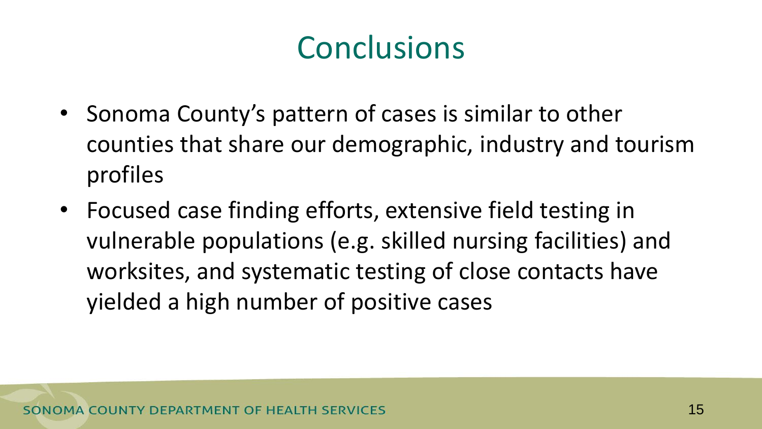# **Conclusions**

- Sonoma County's pattern of cases is similar to other counties that share our demographic, industry and tourism profiles
- Focused case finding efforts, extensive field testing in vulnerable populations (e.g. skilled nursing facilities) and worksites, and systematic testing of close contacts have yielded a high number of positive cases